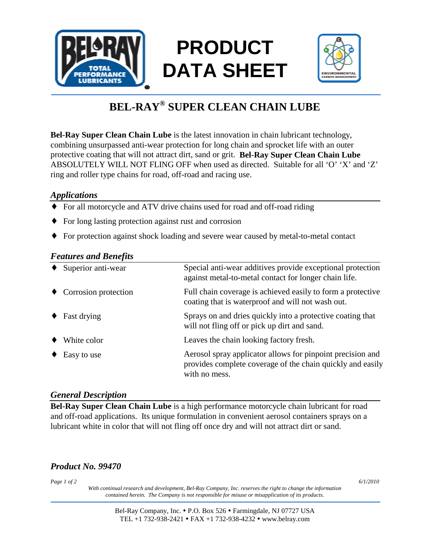

# **PRODUCT DATA SHEET**



## **BEL-RAY® SUPER CLEAN CHAIN LUBE**

**Bel-Ray Super Clean Chain Lube** is the latest innovation in chain lubricant technology, combining unsurpassed anti-wear protection for long chain and sprocket life with an outer protective coating that will not attract dirt, sand or grit. **Bel-Ray Super Clean Chain Lube** ABSOLUTELY WILL NOT FLING OFF when used as directed. Suitable for all 'O' 'X' and 'Z' ring and roller type chains for road, off-road and racing use.

#### *Applications*

- ♦ For all motorcycle and ATV drive chains used for road and off-road riding
- ♦ For long lasting protection against rust and corrosion
- ♦ For protection against shock loading and severe wear caused by metal-to-metal contact

#### *Features and Benefits*

| Superior anti-wear             | Special anti-wear additives provide exceptional protection<br>against metal-to-metal contact for longer chain life.                       |
|--------------------------------|-------------------------------------------------------------------------------------------------------------------------------------------|
| $\bullet$ Corrosion protection | Full chain coverage is achieved easily to form a protective<br>coating that is waterproof and will not wash out.                          |
| Fast drying                    | Sprays on and dries quickly into a protective coating that<br>will not fling off or pick up dirt and sand.                                |
| White color                    | Leaves the chain looking factory fresh.                                                                                                   |
| Easy to use                    | Aerosol spray applicator allows for pinpoint precision and<br>provides complete coverage of the chain quickly and easily<br>with no mess. |

#### *General Description*

**Bel-Ray Super Clean Chain Lube** is a high performance motorcycle chain lubricant for road and off-road applications. Its unique formulation in convenient aerosol containers sprays on a lubricant white in color that will not fling off once dry and will not attract dirt or sand.

### *Product No. 99470*

*Page 1 of 2 6/1/2010*

*With continual research and development, Bel-Ray Company, Inc. reserves the right to change the information contained herein. The Company is not responsible for misuse or misapplication of its products.* 

> Bel-Ray Company, Inc. • P.O. Box 526 • Farmingdale, NJ 07727 USA TEL +1 732-938-2421 FAX +1 732-938-4232 www.belray.com